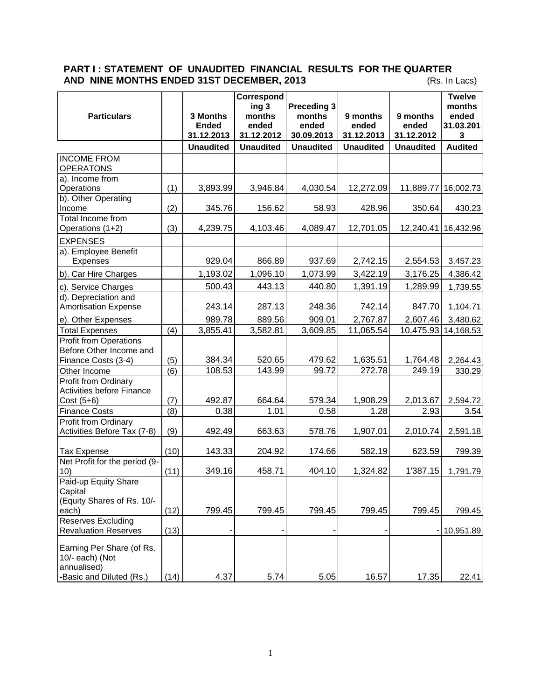## **PART I : STATEMENT OF UNAUDITED FINANCIAL RESULTS FOR THE QUARTER AND NINE MONTHS ENDED 31ST DECEMBER, 2013** (Rs. In Lacs)

|                                                                                 |      |                                        | Correspond                             |                                                     |                                 |                                 | <b>Twelve</b>                     |
|---------------------------------------------------------------------------------|------|----------------------------------------|----------------------------------------|-----------------------------------------------------|---------------------------------|---------------------------------|-----------------------------------|
| <b>Particulars</b>                                                              |      | 3 Months<br><b>Ended</b><br>31.12.2013 | ing 3<br>months<br>ended<br>31.12.2012 | <b>Preceding 3</b><br>months<br>ended<br>30.09.2013 | 9 months<br>ended<br>31.12.2013 | 9 months<br>ended<br>31.12.2012 | months<br>ended<br>31.03.201<br>3 |
|                                                                                 |      | <b>Unaudited</b>                       | <b>Unaudited</b>                       | <b>Unaudited</b>                                    | <b>Unaudited</b>                | <b>Unaudited</b>                | <b>Audited</b>                    |
| <b>INCOME FROM</b><br><b>OPERATONS</b>                                          |      |                                        |                                        |                                                     |                                 |                                 |                                   |
| a). Income from<br>Operations<br>b). Other Operating                            | (1)  | 3,893.99                               | 3,946.84                               | 4,030.54                                            | 12,272.09                       |                                 | 11,889.77 16,002.73               |
| Income                                                                          | (2)  | 345.76                                 | 156.62                                 | 58.93                                               | 428.96                          | 350.64                          | 430.23                            |
| Total Income from<br>Operations (1+2)                                           | (3)  | 4,239.75                               | 4,103.46                               | 4,089.47                                            | 12,701.05                       | 12,240.41                       | 16,432.96                         |
| <b>EXPENSES</b>                                                                 |      |                                        |                                        |                                                     |                                 |                                 |                                   |
| a). Employee Benefit<br>Expenses                                                |      | 929.04                                 | 866.89                                 | 937.69                                              | 2,742.15                        | 2,554.53                        | 3,457.23                          |
| b). Car Hire Charges                                                            |      | 1,193.02                               | 1,096.10                               | 1,073.99                                            | 3,422.19                        | 3,176.25                        | 4,386.42                          |
| c). Service Charges                                                             |      | 500.43                                 | 443.13                                 | 440.80                                              | 1,391.19                        | 1,289.99                        | 1,739.55                          |
| d). Depreciation and<br><b>Amortisation Expense</b>                             |      | 243.14                                 | 287.13                                 | 248.36                                              | 742.14                          | 847.70                          | 1,104.71                          |
| e). Other Expenses                                                              |      | 989.78                                 | 889.56                                 | 909.01                                              | 2,767.87                        | 2,607.46                        | 3,480.62                          |
| <b>Total Expenses</b>                                                           | (4)  | 3,855.41                               | 3,582.81                               | 3,609.85                                            | 11,065.54                       |                                 | 10,475.93 14,168.53               |
| <b>Profit from Operations</b><br>Before Other Income and<br>Finance Costs (3-4) | (5)  | 384.34                                 | 520.65                                 | 479.62                                              | 1,635.51                        | 1,764.48                        | 2,264.43                          |
| Other Income                                                                    | (6)  | 108.53                                 | 143.99                                 | 99.72                                               | 272.78                          | 249.19                          | 330.29                            |
| <b>Profit from Ordinary</b><br><b>Activities before Finance</b><br>Cost $(5+6)$ | (7)  | 492.87                                 | 664.64                                 | 579.34                                              | 1,908.29                        | 2,013.67                        | 2,594.72                          |
| <b>Finance Costs</b>                                                            | (8)  | 0.38                                   | 1.01                                   | 0.58                                                | 1.28                            | 2.93                            | 3.54                              |
| Profit from Ordinary<br>Activities Before Tax (7-8)                             | (9)  | 492.49                                 | 663.63                                 | 578.76                                              | 1,907.01                        | 2,010.74                        | 2,591.18                          |
| <b>Tax Expense</b><br>Net Profit for the period (9-                             | (10) | 143.33                                 | 204.92                                 | 174.66                                              | 582.19                          | 623.59                          | 799.39                            |
| 10)                                                                             | (11) | 349.16                                 | 458.71                                 | 404.10                                              | 1,324.82                        | 1'387.15                        | 1,791.79                          |
| Paid-up Equity Share<br>Capital<br>(Equity Shares of Rs. 10/-<br>each)          | (12) | 799.45                                 | 799.45                                 | 799.45                                              | 799.45                          | 799.45                          | 799.45                            |
| <b>Reserves Excluding</b>                                                       |      |                                        |                                        |                                                     |                                 |                                 |                                   |
| <b>Revaluation Reserves</b>                                                     | (13) |                                        |                                        |                                                     |                                 |                                 | 10,951.89                         |
| Earning Per Share (of Rs.<br>10/- each) (Not<br>annualised)                     |      |                                        |                                        |                                                     |                                 |                                 |                                   |
| -Basic and Diluted (Rs.)                                                        | (14) | 4.37                                   | 5.74                                   | 5.05                                                | 16.57                           | 17.35                           | 22.41                             |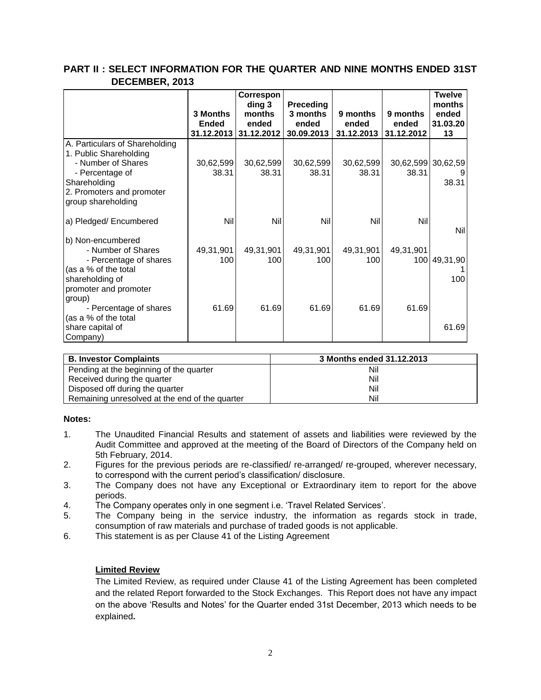|                                                                                                                                       | 3 Months<br><b>Ended</b> | Correspon<br>ding 3<br>months<br>ended | <b>Preceding</b><br>3 months<br>ended | 9 months<br>ended  | 9 months<br>ended           | <b>Twelve</b><br>months<br>ended<br>31.03.20 |
|---------------------------------------------------------------------------------------------------------------------------------------|--------------------------|----------------------------------------|---------------------------------------|--------------------|-----------------------------|----------------------------------------------|
| A. Particulars of Shareholding<br>1. Public Shareholding                                                                              |                          | 31.12.2013 31.12.2012                  | 30.09.2013                            | 31.12.2013         | 31.12.2012                  | 13                                           |
| - Number of Shares<br>- Percentage of<br>Shareholding<br>2. Promoters and promoter<br>group shareholding                              | 30,62,599<br>38.31       | 30,62,599<br>38.31                     | 30,62,599<br>38.31                    | 30,62,599<br>38.31 | 30,62,599 30,62,59<br>38.31 | 38.31                                        |
| a) Pledged/ Encumbered                                                                                                                | <b>Nil</b>               | Nil                                    | Nil                                   | <b>Nil</b>         | Nil                         | <b>Nil</b>                                   |
| b) Non-encumbered<br>- Number of Shares<br>- Percentage of shares<br>(as a % of the total<br>shareholding of<br>promoter and promoter | 49,31,901<br>100         | 49,31,901<br>100                       | 49,31,901<br>100                      | 49,31,901<br>100   | 49,31,901                   | 100 49,31,90<br>100                          |
| group)<br>- Percentage of shares<br>(as a % of the total<br>share capital of<br>Company)                                              | 61.69                    | 61.69                                  | 61.69                                 | 61.69              | 61.69                       | 61.69                                        |

## **PART II : SELECT INFORMATION FOR THE QUARTER AND NINE MONTHS ENDED 31ST DECEMBER, 2013**

| <b>B. Investor Complaints</b>                  | 3 Months ended 31.12.2013 |  |  |  |
|------------------------------------------------|---------------------------|--|--|--|
| Pending at the beginning of the quarter        | Nil                       |  |  |  |
| Received during the quarter                    | Nil                       |  |  |  |
| Disposed off during the quarter                | Nil                       |  |  |  |
| Remaining unresolved at the end of the quarter | Nil                       |  |  |  |

## **Notes:**

- 1. The Unaudited Financial Results and statement of assets and liabilities were reviewed by the Audit Committee and approved at the meeting of the Board of Directors of the Company held on 5th February, 2014.
- 2. Figures for the previous periods are re-classified/ re-arranged/ re-grouped, wherever necessary, to correspond with the current period's classification/ disclosure.
- 3. The Company does not have any Exceptional or Extraordinary item to report for the above periods.
- 4. The Company operates only in one segment i.e. 'Travel Related Services'.
- 5. The Company being in the service industry, the information as regards stock in trade, consumption of raw materials and purchase of traded goods is not applicable.
- 6. This statement is as per Clause 41 of the Listing Agreement

## **Limited Review**

The Limited Review, as required under Clause 41 of the Listing Agreement has been completed and the related Report forwarded to the Stock Exchanges. This Report does not have any impact on the above 'Results and Notes' for the Quarter ended 31st December, 2013 which needs to be explained**.**